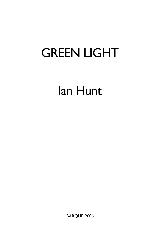# GREEN LIGHT

# Ian Hunt

BARQUE 2006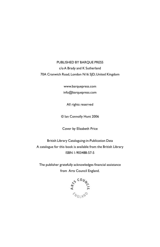# PUBLISHED BY BARQUE PRESS c/o A Brady and K Sutherland 70A Cranwich Road, London N16 5JD, United Kingdom

www.barquepress.com info@barquepress.com

All rights reserved

© Ian Connolly Hunt 2006

Cover by Elizabeth Price

British Library Cataloguing-in-Publication Data A catalogue for this book is available from the British Library ISBN 1-903488-57-5

The publisher gratefully acknowledges financial assistance from Arts Council England.

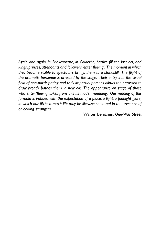*Again and again, in Shakespeare, in Calderón, battles fill the last act, and kings, princes, attendants and followers 'enter fleeing'. The moment in which they become visible to spectators brings them to a standstill. The flight of the dramatis personae is arrested by the stage. Their entry into the visual field of non-participating and truly impartial persons allows the harassed to draw breath, bathes them in new air. The appearance on stage of those who enter 'fleeing' takes from this its hidden meaning. Our reading of this formula is imbued with the expectation of a place, a light, a footlight glare, in which our flight through life may be likewise sheltered in the presence of onlooking strangers.*

Walter Benjamin, *One-Way Street*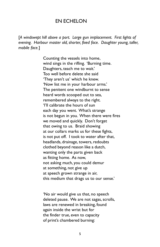## EN ECHELON

[*A windswept hill above a port. Large gun implacement. First lights of evening. Harbour master old, shorter, fixed face. Daughter young, taller, mobile face.*]

> Counting the vessels into home, wind sings in the rifling. 'Burning time. Daughters, teach me to wait.' Too well before delete she said 'They aren't us' which he knew. 'Now list me in your harbour arms.' The penitent one windburnt to sense heard words scooped out to sea, remembered always to the right. 'I'll calibrate the hours of sun each day you went. What's strange is not begun in you. When there were fires we moved and quickly. Don't forget that owing to us. Braid showing at our collars marks us for these fights, is not put off. I took to water after that, headlands, drainage, towers, redoubts clothed beyond reason like a dutch, wanting only the parts given back as fitting home. As now, not asking much, you could demur at something, not give up at speech grown strange in air, this medium that drags us to our sense.'

'No air would give us that, no speech deleted pause. We are not sagas, scrolls, laws are renewed in breaking, found again inside the wrist but for the finder true, even to capacity of print's chambered burning: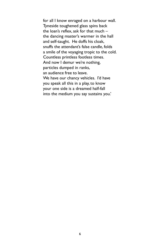for all I know enraged on a harbour wall. Tyneside toughened glass spins back the loan's reflex, ask for that much – the dancing master's warmer in the hall and self-taught. He doffs his cloak, snuffs the attendant's false candle, folds a smile of the voyaging tropic to the cold. Countless printless footless times. And now I demur we're nothing, particles dumped in ranks, an audience free to leave. We have our chancy vehicles. I'd have you speak all this in a play, to know your one side is a dreamed half-fall into the medium you say sustains you.'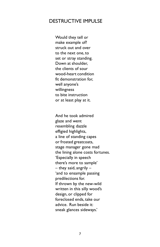# DESTRUCTIVE IMPULSE

Would they tell or make example of? struck out and over to the next one, to set or stray standing. Down at shoulder, the clients of sour wood-heart condition fit demonstration for, well anyone's willingness to bite instruction or at least play at it.

And he took admired glaze and went resembling dazzle effigied highlights, a line of standing capes or frosted greatcoats, stage manager gone mad the lining alone costs fortunes. 'Especially in speech there's more to sample' – they said, angrily – 'and to ensample passing predilections for. If thrown by the new-wild written in this silly wood's design, or clipped for foreclosed ends, take our advice. Run beside it: sneak glances sideways.'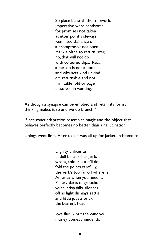So place beneath the trapwork. Imperative were handsome for promises not taken at utter point: sideways. Reminted dalliance of a promptbook not open. Mark a place to return later, no, that will not do with coloured slips. Recall a person is not a book and why acts kind unkind *are* returnable and not illimitable fold or page dissolved in wanting.

As though a synapse can be emptied and retain its form / thinking makes it so and we do branch /

'Since exact adaptation resembles magic and the object that behaves perfectly becomes no better than a hallucination'

Linings went first. After that it was all up for jacket architecture.

Dignity unfixes as in dull blue archer garb, wrong colour but it'll do, fold the points carefully, the verb's too far off where is America when you need it. Papery darts of groucho voice, crisp falls, silences off as light dismays settle and little jousts prick the bearer's head.

love flies / out the window money comes / innuendo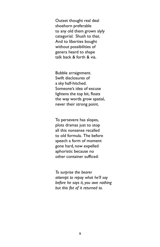Outset thought real deal shoehorn preferable to any old them grown slyly categorial. Shush to that. And to liberties bought without possibilities of genera heard to shape talk back & forth & via.

Bubble arraignment. Swift disclosures of a sky half-hitched. Someone's idea of excuse lightens the top bit, floats the way words grow spatial, never their strong point.

To persevere has slopes, plots dramas just to stop all this nonsense recalled to old formula. The before speech a form of moment gone hard, now expelled aphoristic because no other container sufficed:

*To surprise the bearer attempt to repay what he'll say before he says it, you owe nothing but this fist of it returned to.*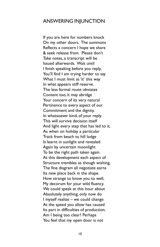## ANSWERING INJUNCTION

If you are here for numbers knock On my other doors. The summons Reflects a concern I hope we share & seek release from. Please don't Take notes, a transcript will be Issued afterwards. Wait until I finish speaking before you reply, You'll find I am trying harder to say What I must limit as 'it' this way In what appears stiff reserve. The less formal route obviates Content too, it may abridge Your concern of its very natural Pertinence to every aspect of our Commitment and the dignity, In whatsoever kind, of your reply. This will survive decision itself And light every step that has led to it, As when on holiday a particular Track from beach to hill lodge Is learnt in sunlight and revealed Again by uncertain moonlight To be the right path taken again. At this development each aspect of Structure trembles as though wishing, The fine diagram all negotiate earns Its new place back in the shape. How strange to know you so well, My decorum for your wild fluency. We could speak at this hour about Absolutely anything, only now do I myself realize – we could change At the speed you allow has caused Its part in difficulties of production. Am I being too clear? Perhaps You feel that my open door is not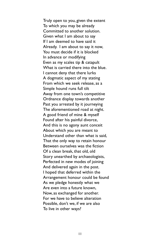Truly open to you, given the extent To which you may be already Committed to another solution. Given what I am about to say If I am deemed to have said it Already. I am about to say it now, You must decide if it is blocked In advance or modifying Even as my scales tip & catapult What is carried there into the blue. I cannot deny that there lurks A dogmatic aspect of my stating From which we seek release, as a Simple hound runs full tilt Away from one town's competitive Ordnance display towards another Past you arrested by it journeying The aforementioned road at night. A good friend of mine & myself Found after his painful divorce, And this is no agony aunt conceit About which you are meant to Understand other than what is said, That the only way to retain honour Between ourselves was the fiction Of a clean break, that old, old Story unearthed by archaeologists, Perfected in new modes of joining And delivered again in the post. I hoped that deferred within the Arrangement honour could be found As we pledge honestly what we Are even into a future known, Now, as exchanged for another. For we have to believe alteration Possible, don't we, if we are also To live in other ways?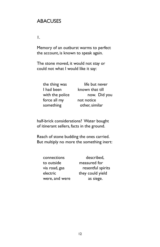# ABACUSES

1.

Memory of an outburst warms to perfect the account, is known to speak again.

The stone moved, it would not stay or could not what I would like it say:

| the thing was   | life but never  |
|-----------------|-----------------|
| I had been      | known that till |
| with the police | now. Did you    |
| force all my    | not notice      |
| something       | other, similar  |

half-brick considerations? Water bought of itinerant sellers, facts in the ground.

Reach of stone budding the ones carried. But multiply no more the something inert:

| connections    | described,        |
|----------------|-------------------|
| to outside     | measured for      |
| via road, gas  | resentful spirits |
| electric       | they could yield  |
| were, and were | as siege.         |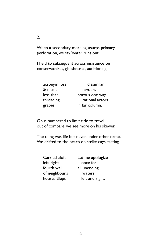When a secondary meaning usurps primary perforation, we say 'water runs out'.

I held to subsequent across insistence on conservatoires, glasshouses, auditioning

| acronym loss | dissimilar      |
|--------------|-----------------|
| & music      | flavours        |
| less than    | porous one way  |
| threading    | rational actors |
| grapes       | in far column.  |

Opus numbered to limit title to travel out of compare: we see more on his skewer.

The thing was life but never, under other name. We drifted to the beach on strike days, tasting

| Carried aloft  | Let me apologize |
|----------------|------------------|
| left, right    | once for         |
| fourth wall    | all unending     |
| of neighbour's | waters           |
| house. Slept.  | left and right.  |

 $\mathcal{L}$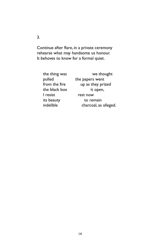Continue after flare, in a private ceremony rehearse what may handsome us honour. It behoves to know for a formal quiet.

| the thing was | we thought            |
|---------------|-----------------------|
| pulled        | the papers went       |
| from the fire | up as they prized     |
| the black box | it open,              |
| I resist      | rest now              |
| its beauty    | to remain             |
| indelible     | charcoal, as alleged. |

3.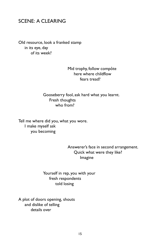# SCENE: A CLEARING

Old resource, look a franked stamp in its eye, day of its week?

## Mid trophy, follow compôte here where childflow fears tread?

## Gooseberry fool, ask hard what you learnt. Fresh thoughts who from?

Tell me where did you, what you wore. I make myself ask you becoming

> Answerer's face in second arrangement. Quick what were they like? Imagine

Yourself in rep, you with your fresh respondents told losing

A plot of doors opening, shouts and dislike of telling details over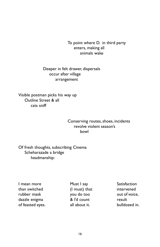To point where D. in third party enters, making all animals wake

Deeper in felt drawer, dispersals occur after village arrangement

Visible postman picks his way up Outline Street & all cats sniff

## Conserving routes, shoes, incidents revolve violent season's bowl

Of fresh thoughts, subscribing Cinema Scheharazade a bridge headmanship:

I mean more **Must I say** Satisfaction than switched (I must) that intervened rubber mask you do too out of voice, dazzle enigma  $\alpha$  l'd count result of feasted eyes. all about it. bulldozed in.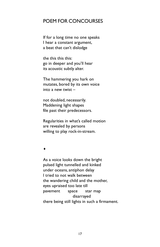# POEM FOR CONCOURSES

If for a long time no one speaks I hear a constant argument, a beat that can't dislodge

the this this this: go in deeper and you'll hear its acoustic subtly alter.

The hammering you hark on mutates, bored by its own voice into a new twist –

not doubled, necessarily. Maddening light shapes file past their predecessors.

Regularities in what's called motion are revealed by persons willing to play rock-in-stream.

♦

As a voice looks down the bright pulsed light tunnelled and kinked under oceans, antiphon delay I tried to not walk between the wandering child and the mother, eyes upraised too late till pavement space star map disarrayed there being still lights in such a firmament.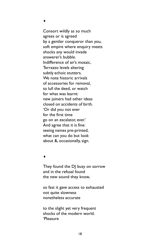♦

Consort wildly as so much agrees or is agreed by a gentler conqueror than you, soft empire where enquiry meets shocks any would invade answerer's bubble. Indifference of air's mosaic, Terrazzo levels altering subtly echoic stutters. We note historic arrivals of accessories for removal, to lull the deed, or watch for what was learnt: new joiners had other ideas closed on accidents of birth. 'Or did you not ever for the first time go on an escalator, ever.' And agree that it is fine: seeing names pre-printed, what can you do but look about &, occasionally, sign.

#### ♦

They found the DJ busy on sorrow and in the refusal found the new sound they know,

so fast it gave access to exhausted not quite slowness nonetheless accurate

to the slight yet very frequent shocks of the modern world. 'Pleasure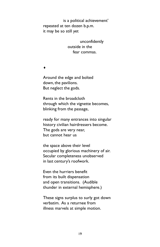is a political achievement' repeated at ten dozen b.p.m. it may be so still yet

> unconfidently outside in the fear commas.

♦

Around the edge and bolted down, the pavilions. But neglect the gods.

Rents in the broadcloth through which the vignette becomes, blinking from the passage,

ready for many entrances into singular history civilian hairdressers become. The gods are very near, but cannot hear us

the space above their level occupied by glorious machinery of air. Secular completeness unobserved in last century's roofwork.

Even the hurriers benefit from its built dispensation and open transitions. (Audible thunder in external hemisphere.)

These signs surplus to surly got down verbatim. As a returnee from illness marvels at simple motion.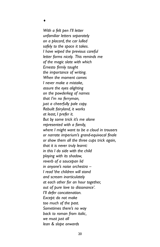♦

*With a felt pen I'll letter unfamiliar letters separately on a placard, the car lulled safely to the space it takes. I have wiped the previous careful letter forms nicely. This reminds me of the magic slate with which Ernesto firmly taught the importance of writing. When the moment comes I never make a mistake, assure the eyes alighting on the powderkeg of names that I'm no ferryman, just a cheerfully pale copy. Rebuilt fairyland, it works at least, I prefer it. But by some trick it's me alone represented with a family, where I might want to be a cloud in trousers or narrate imperium's grand-equivocal finale or show them all the three cups trick again, that it is never truly learnt: in this I do side with the child playing with its shadow, reverb of a saucepan lid in anyone's noise orchestra – I read 'the children will stand and scream inarticulately at each other for an hour together, out of pure love to dissonance'. I'll defer concatenation. Except: do not make too much of the past. Sometimes there's no way back to roman from italic, we must just all lean & slope onwards*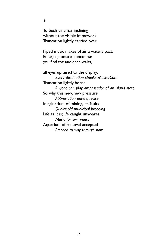To bush cinemas inclining without the visible framework. Truncation lightly carried over.

♦

Piped music makes of air a watery pact. Emerging onto a concourse you find the audience waits,

all eyes upraised to the display: *Every destination speaks MasterCard* Truncation lightly borne *Anyone can play ambassador of an island state* So why this new, new pressure *Abbreviation enters, revise* Imaginarium of mixing, its faults *Quaint old municipal breeding* Life as it is; life caught unawares *Music for swimmers* Aquarium of removal accepted *Proceed to way through now*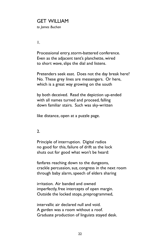# GET WILLIAM

*to James Buchan*

1.

Processional entry, storm-battered conference. Even as the adjacent tent's planchette, wired to short wave, slips the dial and listens.

Pretenders seek east. Does not the day break here? No. These grey lines are messengers. Or here, which is a great way growing on the south

by both deceived. Read the depiction up-ended with all names turned and proceed, falling down familiar stairs. Such was sky-written

like distance, open at a puzzle page.

2.

Principle of interruption. Digital radios no good for this, failure of drift as the lock shuts out for good what won't be heard:

fanfares reaching down to the dungeons, crackle percussion, suz, congress in the next room through baby alarm, speech of elders sharing

irritation. Air banded and owned imperfectly, free intercepts of open margin. Outside the locked stops, preprogrammed,

intervallic air declared null and void. A garden was a room without a roof. Graduate production of linguists stayed desk.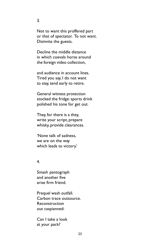Not to want this proffered part or that of spectator. To not want. Disinvite the guests.

Decline the middle distance in which coevals horse around the foreign video collection,

and audience in account lines. Tired you say, I do not want to stay, tend early to retire.

General witness protection stocked the fridge: sports drink polished his tone for get out.

They, for there is a they, write your script, prepare whisky, provide clearances.

'None talk of sadness, we are on the way which leads to victory.'

## 4.

Smash pantograph and another five arise firm friend.

Prequel wash outfall. Carbon trace outsource. Reconstruction out caspianned:

Can I take a look at your pack?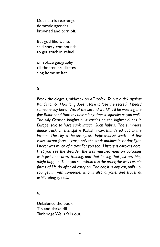Dot matrix rearrange domestic agendas browned and torn off.

But god-like wants said sorry compounds to get stuck in, refuel

on solace geography till the free predicates sing home at last.

### 5.

*Break the diegesis, midweek on a Tupolev. To put a tick against Kant's tomb. How long does it take to lose the secret? I heard someone say here: 'We, of the second world'. I'll be washing the fine Baltic sand from my hair a long time, it squeaks as you walk. The silly German knights built castles on the highest dunes in Europe, said to have sunk intact. Such hubris. The summer's dance track on this spit is* Kalashnikov*, thundered out to the lagoon. The city is the strangest. Expressionist vestige. A few villas, vacant forts. I grasp only the stark outlines in glaring light. I never was much of a traveller, you see. History is careless here. First you see the disorder, the well muscled men on balconies with just their army training, and that feeling that just anything might happen. Then you see within this the order, the way certain forms of life do after all carry on. The car, it is any car, pulls up, you get in with someone, who is also anyone, and travel at exhilarating speeds.*

6.

Unbalance the book. Tip and shake till Tunbridge Wells falls out,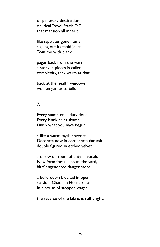or pin every destination on Ideal Towel Stack, D.C. that mansion all inherit

like tapwater gone home, sighing out its tepid jokes. Twin me with blank

pages back from the wars, a story in pieces is called complexity, they warm at that,

back at the health windows women gather to talk.

## 7.

Every stamp cries duty done Every blank cries shame Finish what you have begun

: like a warm myth coverlet. Decorate now in consecrate damask double figured, in etched velvet

a throw on tours of duty in vocab. New form forage scours the yard, bluff engendered danger stops

a build-down blocked in open session, Chatham House rules. In a house of stopped wages

the reverse of the fabric is still bright.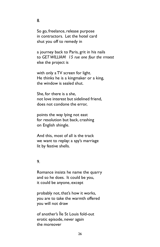So go, freelance, release purpose in contractors. Let the hotel card shut you off to remedy in

a journey back to Paris, grit in his nails to *GET WILLIAM 15 rue one four the rrroest* else the project is

with only a TV screen for light. He thinks he is a kingmaker or a king, the window is sealed shut.

She, for there is a she, not love interest but sidelined friend, does not condone the error,

points the way lying not east for resolution but back, crashing on English shingle.

And this, most of all is the track we want to replay: a spy's marriage lit by festive shells.

### 9.

Romance insists he name the quarry and so he does. It could be you, it could be anyone, except

probably not, that's how it works, you are to take the warmth offered you will not draw

of another's Île St Louis fold-out erotic episode, never again the moreover

## 8.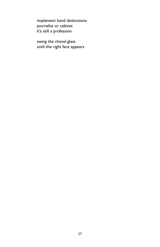implement hand distinctions journalist or cabinet it's still a profession

swing the cheval-glass until the right face appears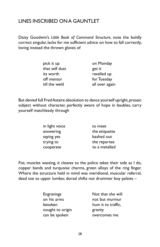# LINES INSCRIBED ON A GAUNTLET

Daisy Goodwin's *Little Book of Command Structure*, note the boldly correct singular, lacks for me sufficient advice on how to fall correctly, loving instead the thrown gloves of

| pick it up     | on Monday      |
|----------------|----------------|
| that self dust | get it         |
| its worth      | ravelled up    |
| off mentor     | for Tuesday    |
| till the weld  | all over again |

But denied full Fred Astaire absolution to dance yourself upright, prosaic subject without character, perfectly aware of hope in baubles, carry yourself matchlessly through

| in light voice | to meet       |
|----------------|---------------|
| answering      | the etiquette |
| saying yes     | bashed out    |
| trying to      | the repartee  |
| cooperate      | to a metalled |

Fist, muscles wasting, it cleaves to the police takes their side as I do, copper bands and turquoise charms, green alloys of the ring finger. Where the structure held in mind was meridional, muscular referral, dead toe to upper lumbar, dorsal shifts not drummer boy palsies –

| <b>Engravings</b> | Not that she will  |
|-------------------|--------------------|
| on his arms       | not but murmur     |
| betoken           | hum it to traffic. |
| nought to origin  | gravity            |
| can be spoken     | overcomes me       |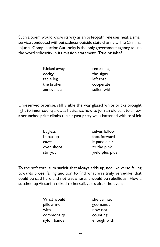Such a poem would know its way as an osteopath releases heat, a small service conducted without sadness outside state channels. The Criminal Injuries Compensation Authority is the only government agency to use the word solidarity in its mission statement. True or false?

| Kicked away | remaining   |
|-------------|-------------|
| dodgy       | the signs   |
| table leg   | left that   |
| the broken  | cooperate   |
| annoyance   | sullen with |

Unreserved promise, still visible the way glazed white bricks brought light to inner courtyards, as hesitancy, how to join an old part to a new, a scrunched print climbs the air past party walls battened with roof felt

| <b>Bagless</b> | selves follow   |
|----------------|-----------------|
| I float up     | foot forward    |
| eaves          | it paddle air   |
| over shops     | to the pink     |
| stir your      | yield plus plus |

To the soft total sum surfeit that always adds up, not like verse falling towards prose, failing audition to find what was truly verse-like, that could be said here and not elsewhere, it would be rebellious. How a stitched up Victorian talked to herself, years after the event

| What would  | she cannot  |
|-------------|-------------|
| pillow me   | geomantic   |
| with        | now not     |
| commonalty  | counting    |
| nylon bands | enough with |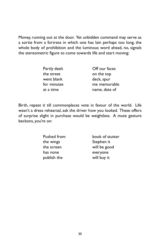Money, running out at the door. Yet unbidden command may serve as a sortie from a fortress in which one has lain perhaps too long, the whole body of prohibition and the luminous word ahead, no, signals the stereometric figure to come towards life and start moving:

| Partly dealt | Off our faces |
|--------------|---------------|
| the street   | on the top    |
| went blank   | deck, spur    |
| for minutes  | me memorable  |
| at a time    | name, date of |

Birth, repeat it till commonplaces vote in favour of the world. Life wasn't a dress rehearsal, ask the driver how you looked. These offers of surprise slight in purchase would be weightless. A mute gesture beckons, you're on:

| Pushed from | book of stutter |
|-------------|-----------------|
| the wings   | Stephen it      |
| the screen  | will be good    |
| has none    | everyone        |
| publish the | will buy it     |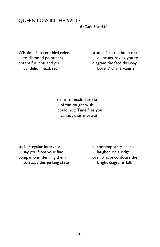## QUEEN LOSS IN THE WILD

*for Tania Nasielski*

Wishfold faltered third refer stood aface the holm oak potent fur. You and you diagram the face this way. dandelion head, set Lovers' chairs vanish

to diamond pointmark quincunx, saying you to

truant to musical arrest of the caught wish. I could not: Time flies you cannot they move at

such irregular intervals: in contemporary dance say you from your fine laughed on a ridge companions, desiring them over whose contours the so stops this jerking state bright diagrams fall.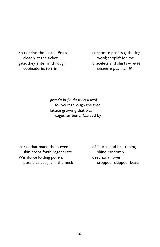closely at the ticket wool; shoplift for me copinaderie, to trim *découvre pas d'un fil*

So deprive the clock. Press corporate profits gathering gate, they enter in through bracelets and shirts – *ne te*

> *jusqu'à la fin du mois d'avril* – follow it through the tree lattice growing that way together bent. Carved by

marks that made them even of Taurus and bad timing, skin crops forth regenerate. Shine randomly Wishforce folding pollen, many destinarian over possibles caught in the neck stopped skipped beats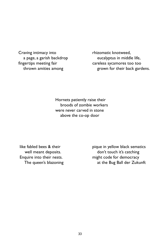Craving intimacy into rhizomatic knotweed, fingertips meeting fair careless sycamores too too

a page, a garish backdrop eucalyptus in middle life, thrown amities among example and their back gardens.

> Hornets patiently raise their broods of zombie workers were never carved in stone above the co-op door

like fabled bees & their pique in yellow black sematics well meant deposits. The mean of the don't touch it's catching Enquire into their nests. The might code for democracy The queen's blazoning at the Bug Ball der Zukunft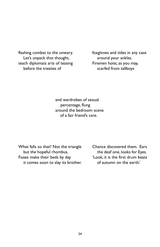flashing combat to the unwary. The state of oxgloves and tides in any case Let's unpack that thought, around your ankles. teach diplomats arts of teasing Firemen hoist, as you may, before the treaties of scarfed from tallboys

and wardrobes of sexual percentage, flung around the bedroom scene of a fair friend's care.

but the hopeful rhombus. the deaf one, looks for Eyes. Foxes make their beds by day 'Look, it is the first drum beats it comes soon to slay its brother. of autumn on the earth.'

What falls so that? Not the triangle Chance discovered them. Ears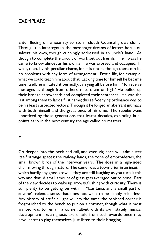## EXEMPLARS

Enter fleeing on whose say-so, storm-cloud? Counsel grows clonic. Through the interregnum, the messenger dreams of letters borne on salvers; his own, though cunningly addressed in an uncle's hand. As though to complete the circuit of work set out freshly. Their ways he came to know almost as his own, a line was crossed and occupied. In what, then, lay his peculiar charm, for it is not as though there can be no problems with any form of arrangement. Erotic life, for example, what we could teach him about that! Lacking time for himself he became time itself, he imitated it perfectly, carrying all before him. 'To receive messages as though from others, raise them on high.' He buffed up their bronze arrowheads and completed their sentences. He was the last among them to lack a first name; this self-denying ordinance was to be his least suspected victory. Through it he forged an aberrant intimacy with both himself and the great ones of his time. The rebuke went unnoticed by those generations that learnt decades, exploding in all points early in the next century, the age called no masters.

♦

Go deeper into the beck and call, and even vigilance will administer itself strange spaces: the railway lands, the zone of embroideries, the small brown birds of the inter-war years. The doze in a high-sided chair moving through nature. The camel was a town-crier in an inset in which hardly any grass grows – they are still laughing as you turn it this way and that. A small amount of grass gets averaged out to none. Part of the view decides to wake up anyway, flushing with curiosity. There is still plenty to be getting on with in Mauritania, and a small part of anyone's relentlessness that does not want to be simply relentless. Any history of artificial light will say the same: the banished corner is frogmarched to the bench to put on a coronet, though what it most wanted was to remain a corner, albeit with its own stately musical development. Even ghosts are unsafe from such awards once they have learnt to play themselves, just listen to their bragging.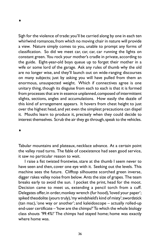♦

Sigh for the violence of trade: you'll be carried along by one in each ten whirlwind romances, from which no moving chair in nature will provide a view. Nature simply comes to you, unable to prompt any forms of classification. So did we meet car, car, car, car running the lights on constant green. You rock your mother's cradle in private, according to the guide. Eight-year-old boys queue up to forget their mother in a wife or some lord of the garage. Ask any rules of thumb why the old are no longer wise, and they'll launch out on wide-ranging discourses on many subjects; just by asking you will have pulled from them an enormous, unsuspected weight. Which if connectives agree is one unitary thing, though its disguise from each to each is that it is formed from processes that are in essence unplanned, composed of intermittent slights, sections, angles and accumulations. How easily the dazzle of this kind of arrangement appears. It hovers from chest height to just over the highest head, and yet even the simplest precautions can dispel it. Mouths learn to produce it, precisely when they could decide to interest themselves. Scrub the air they go through, speak to the vehicles.

♦

Tabular mountains and plateaux, necklace advance. At a certain point the valley road turns. The fable of coexistence had seen good service, it saw no particular reason to wait.

I raise a fist twisted frontwise, stare at the thumb I seem never to have seen and then, cover one eye with it. Seeking out the levels. This machine sees the future. Clifftop silhouette scorched green inverse, digger rakes valley noise from below. Ants the size of grapes. The team breaks early to avoid the sun. I pocket the print, head for the moot. Decision came to meet us, extending a pencil torch from a cuff. Delegates offer, in order, monkey wrench (fur hood), 'loved your paper'; spiked theodolite (yours truly), 'my windshield's kind of misty'; swordstick (tan mac), 'one way or another'; and kaleidoscope – actually rolled-up end-user certificate – 'how are the chimps?' To which the whole biology class shouts '99.4%!' The chimps had stayed home; home was exactly where home was.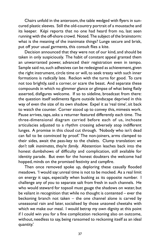Chairs unfold in the anteroom, the table wedged with flyers in suncured plastic sleeves. Still the old-country portrait of a moustache and its keeper. Képi reports that no one had heard from no, last seen running with the off-shore crowd. Noted. The subject of the brainstorm: what is the meaning of the inanimate things? Lunge secure and brisk, put off your usual garments, this consult flies a kite.

Decision announced that they were not of our kind, and should be taken in only suspiciously. The habit of constant appeal granted them an unwarranted power, advanced their registration even in tempo. Sample said no, such adhesives can be redesigned as achievement, given the right instrument, circle time or will, to seek treaty with such inner formations is radically late. Reckon with the turns for good. To care not too brightly, said a corner, or scare the beast. And separate these compounds in which no glimmer glance or glimpse of what being flatly asserted, disfigures welcome. If so to sideline, broadcast from there: the question itself sediments figure outside landscape deprived in this way of even the size of its own shadow. Expel it as 'real time', sit back to watch the counter. Corner stood up to convey this, mimesis work. Pause arrives, taps, asks: a returner featured differently each time. The three-dimensional diagram carried before each of us, inchoate articulacies adjusted to a rhythm crossing adversely atop indifferent lunges. A promise in this cloud cut through. 'Nobody who isn't dead can fail to be convinced by proof.' The non-joiners, arms clamped to their sides, await the pass-key to the chalets. Clump translation: *we don't talk inanimates, they're family*. Abstention leaches back into the honest dumbshows of difficulty and complication, still available for identity parade. But even for the honest doubters the welcome had hopped, minds on the promised festivity and campfire.

Then once removed spoke up, deploring these casually flooded meadows. 'I would say: unreal time is not to be mocked. As a real limit on energy it saps, especially when busking as its opposite number. I challenge any of you to separate salt from fresh in such channels. He who would steward for topsoil must gauge the shadows on water, but be valiant in recognition that while no thought is contented – ever the beckoning branch not taken – the one channel alone is carved by unseasonal rain and later, socialised by those unzoned cheetahs with which we make our meal. I would betray my own dignity at this point if I could win you for a fine complication reckoning also on outcome, without, needless to say, being ransomed to reckoning itself as an ideal quantity.'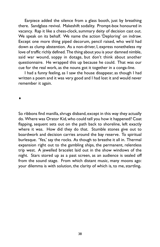Earpiece added the silence from a glass booth, just by breathing there. Sandglass revival. Makeshift sodality. Prompt-box honoured in vacancy. Rap it like a chess-clock, summary deity of decision cast out. We speak on its behalf. We name the action 'Deploring' on indraw. Except one more thing piped decorum, pencil raised, who we'd had down as clump abstention. As a non-driver, I, express nonetheless my love of traffic richly defined. The thing about you is your damned nimble, said war wound, soppy in dotage, but don't think about another questionnaire. He wrapped this up because he could. That was our cue for the real work, as the nouns got it together in a conga-line.

I had a funny feeling, as I saw the house disappear, as though I had written a poem and it was very good and I had lost it and would never remember it again.

♦

So ribbons find manilla, shrugs disband, except in this way they actually do. Where was Orator Kid, who could tell you how it happened? Coat flapping, sequent sets out on the path back to shoreline, left exactly where it was. How did they do that. Stumble stones give out to boardwork and decision carries around the bay reserve. To spiritual burlesque. 'Yes,' say the rocks. As though to breathe it all in. Thermal expansion right out to the gambling ships, the permanent, relentless trip west. A jewelled bracelet laid out in the show windows of the night. Stars stored up as a past screen, as an audience is sealed off from the sound stage. From which distant music, many moons ago: your dilemma is with solution, the clarity of which is, to me, startling**.**